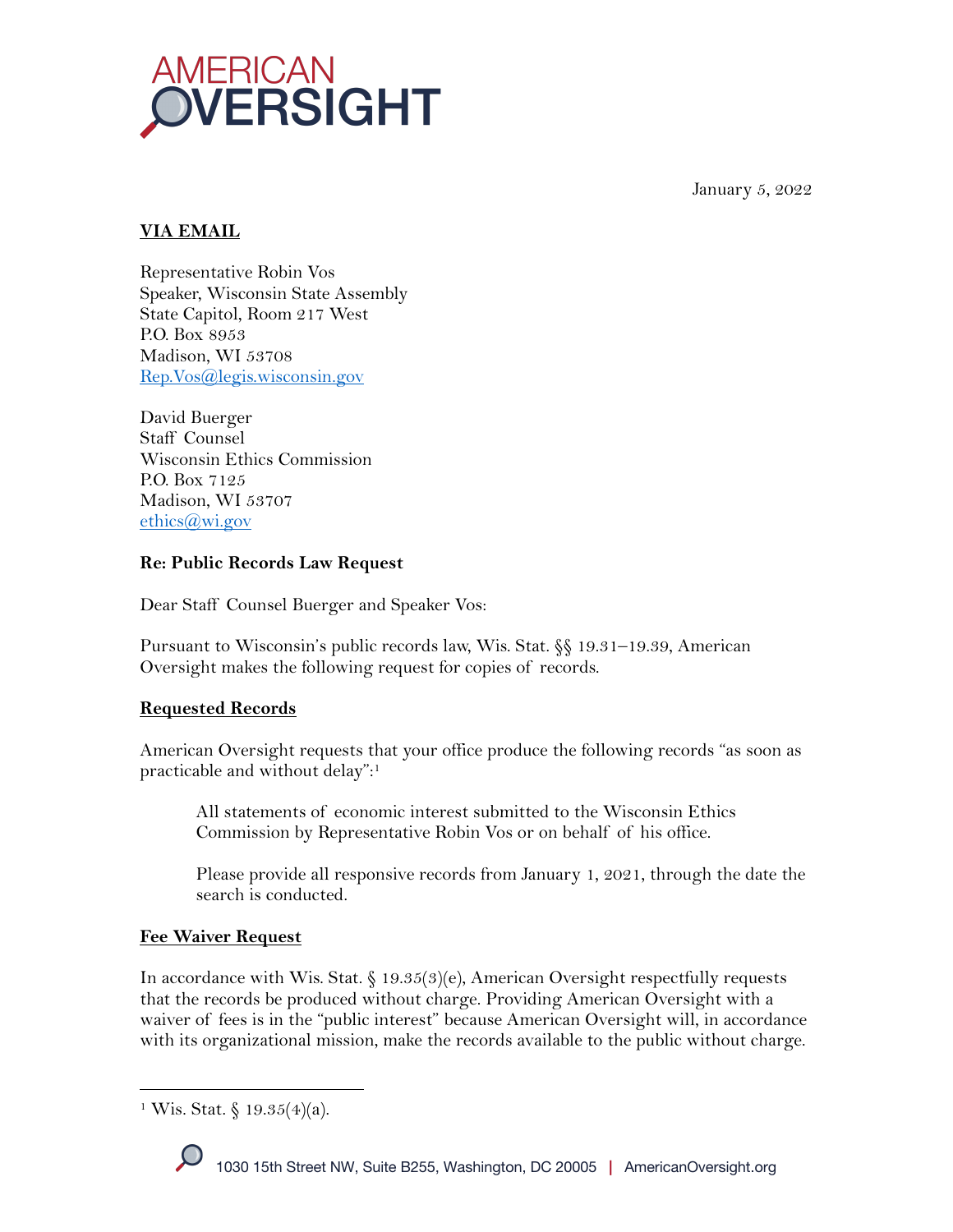

January 5, 2022

## **VIA EMAIL**

Representative Robin Vos Speaker, Wisconsin State Assembly State Capitol, Room 217 West P.O. Box 8953 Madison, WI 53708 Rep.Vos@legis.wisconsin.gov

David Buerger Staff Counsel Wisconsin Ethics Commission P.O. Box 7125 Madison, WI 53707  $ethics@wi.gov$ 

### **Re: Public Records Law Request**

Dear Staff Counsel Buerger and Speaker Vos:

Pursuant to Wisconsin's public records law, Wis. Stat. §§ 19.31–19.39, American Oversight makes the following request for copies of records.

### **Requested Records**

American Oversight requests that your office produce the following records "as soon as practicable and without delay": 1

All statements of economic interest submitted to the Wisconsin Ethics Commission by Representative Robin Vos or on behalf of his office.

Please provide all responsive records from January 1, 2021, through the date the search is conducted.

### **Fee Waiver Request**

In accordance with Wis. Stat. § 19.35(3)(e), American Oversight respectfully requests that the records be produced without charge. Providing American Oversight with a waiver of fees is in the "public interest" because American Oversight will, in accordance with its organizational mission, make the records available to the public without charge.

<sup>&</sup>lt;sup>1</sup> Wis. Stat. § 19.35(4)(a).

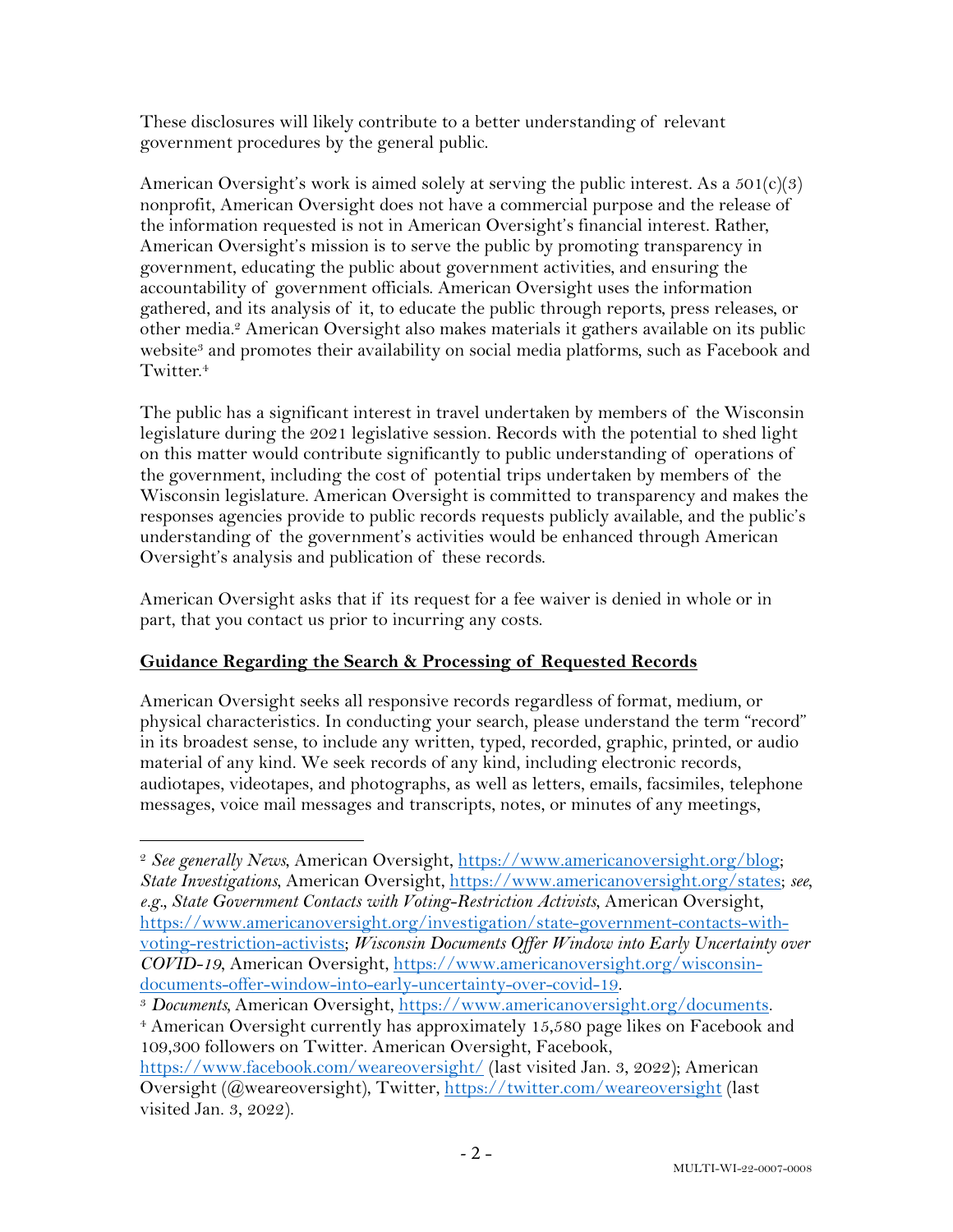These disclosures will likely contribute to a better understanding of relevant government procedures by the general public.

American Oversight's work is aimed solely at serving the public interest. As a  $501(c)(3)$ nonprofit, American Oversight does not have a commercial purpose and the release of the information requested is not in American Oversight's financial interest. Rather, American Oversight's mission is to serve the public by promoting transparency in government, educating the public about government activities, and ensuring the accountability of government officials. American Oversight uses the information gathered, and its analysis of it, to educate the public through reports, press releases, or other media.2 American Oversight also makes materials it gathers available on its public website<sup>3</sup> and promotes their availability on social media platforms, such as Facebook and Twitter.<sup>4</sup>

The public has a significant interest in travel undertaken by members of the Wisconsin legislature during the 2021 legislative session. Records with the potential to shed light on this matter would contribute significantly to public understanding of operations of the government, including the cost of potential trips undertaken by members of the Wisconsin legislature. American Oversight is committed to transparency and makes the responses agencies provide to public records requests publicly available, and the public's understanding of the government's activities would be enhanced through American Oversight's analysis and publication of these records.

American Oversight asks that if its request for a fee waiver is denied in whole or in part, that you contact us prior to incurring any costs.

# **Guidance Regarding the Search & Processing of Requested Records**

American Oversight seeks all responsive records regardless of format, medium, or physical characteristics. In conducting your search, please understand the term "record" in its broadest sense, to include any written, typed, recorded, graphic, printed, or audio material of any kind. We seek records of any kind, including electronic records, audiotapes, videotapes, and photographs, as well as letters, emails, facsimiles, telephone messages, voice mail messages and transcripts, notes, or minutes of any meetings,

<sup>4</sup> American Oversight currently has approximately 15,580 page likes on Facebook and 109,300 followers on Twitter. American Oversight, Facebook,

<sup>2</sup> *See generally News*, American Oversight, https://www.americanoversight.org/blog; *State Investigations*, American Oversight, https://www.americanoversight.org/states; *see, e.g., State Government Contacts with Voting-Restriction Activists*, American Oversight, https://www.americanoversight.org/investigation/state-government-contacts-withvoting-restriction-activists; *Wisconsin Documents Offer Window into Early Uncertainty over COVID-19*, American Oversight, https://www.americanoversight.org/wisconsindocuments-offer-window-into-early-uncertainty-over-covid-19.

<sup>3</sup> *Documents,* American Oversight, https://www.americanoversight.org/documents.

https://www.facebook.com/weareoversight/ (last visited Jan. 3, 2022); American Oversight (@weareoversight), Twitter, https://twitter.com/weareoversight (last visited Jan. 3, 2022).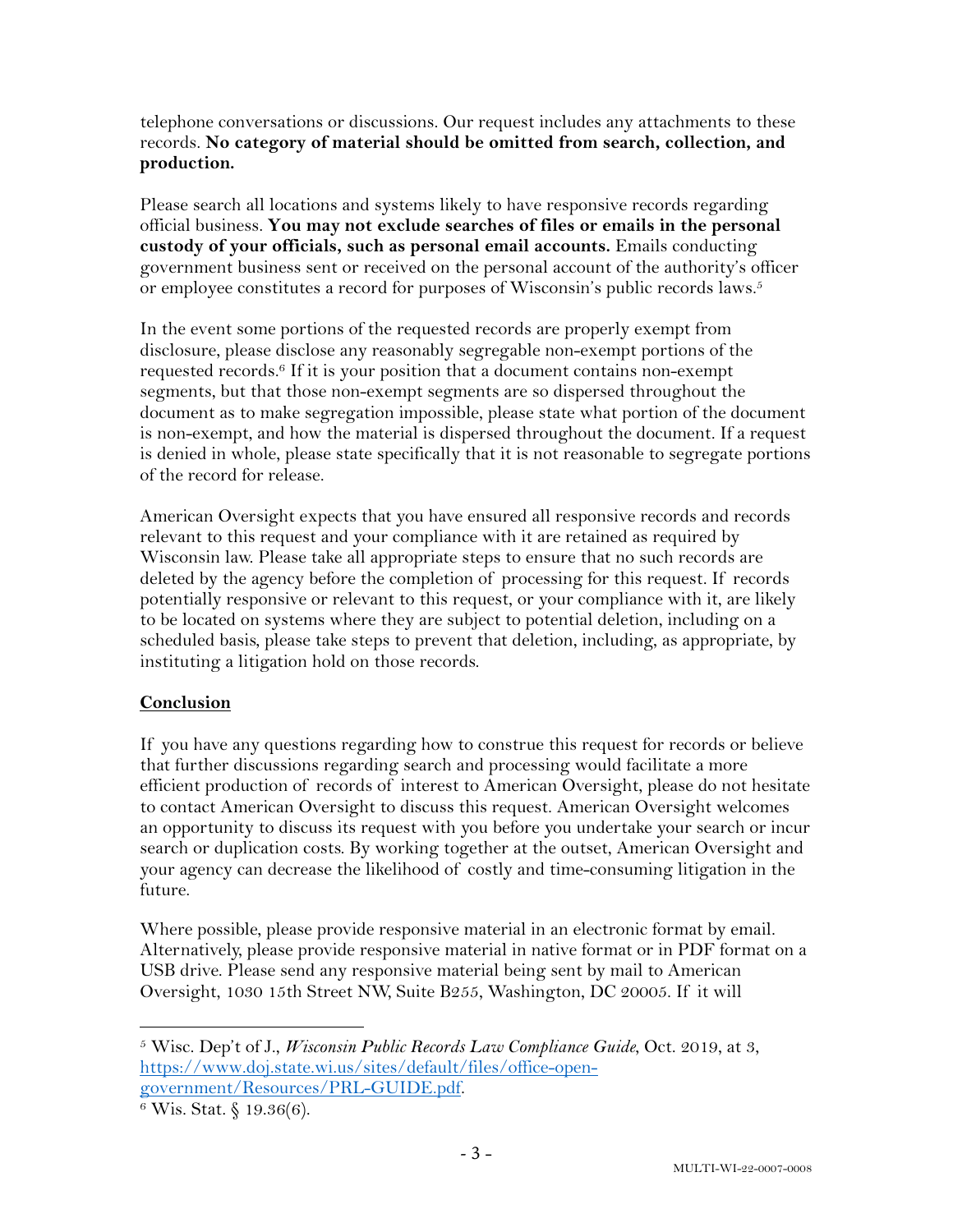telephone conversations or discussions. Our request includes any attachments to these records. **No category of material should be omitted from search, collection, and production.**

Please search all locations and systems likely to have responsive records regarding official business. **You may not exclude searches of files or emails in the personal custody of your officials, such as personal email accounts.** Emails conducting government business sent or received on the personal account of the authority's officer or employee constitutes a record for purposes of Wisconsin's public records laws.<sup>5</sup>

In the event some portions of the requested records are properly exempt from disclosure, please disclose any reasonably segregable non-exempt portions of the requested records.6 If it is your position that a document contains non-exempt segments, but that those non-exempt segments are so dispersed throughout the document as to make segregation impossible, please state what portion of the document is non-exempt, and how the material is dispersed throughout the document. If a request is denied in whole, please state specifically that it is not reasonable to segregate portions of the record for release.

American Oversight expects that you have ensured all responsive records and records relevant to this request and your compliance with it are retained as required by Wisconsin law. Please take all appropriate steps to ensure that no such records are deleted by the agency before the completion of processing for this request. If records potentially responsive or relevant to this request, or your compliance with it, are likely to be located on systems where they are subject to potential deletion, including on a scheduled basis, please take steps to prevent that deletion, including, as appropriate, by instituting a litigation hold on those records.

### **Conclusion**

If you have any questions regarding how to construe this request for records or believe that further discussions regarding search and processing would facilitate a more efficient production of records of interest to American Oversight, please do not hesitate to contact American Oversight to discuss this request. American Oversight welcomes an opportunity to discuss its request with you before you undertake your search or incur search or duplication costs. By working together at the outset, American Oversight and your agency can decrease the likelihood of costly and time-consuming litigation in the future.

Where possible, please provide responsive material in an electronic format by email. Alternatively, please provide responsive material in native format or in PDF format on a USB drive. Please send any responsive material being sent by mail to American Oversight, 1030 15th Street NW, Suite B255, Washington, DC 20005. If it will

<sup>5</sup> Wisc. Dep't of J., *Wisconsin Public Records Law Compliance Guide*, Oct. 2019, at 3, https://www.doj.state.wi.us/sites/default/files/office-opengovernment/Resources/PRL-GUIDE.pdf.<br><sup>6</sup> Wis. Stat. § 19.36(6).